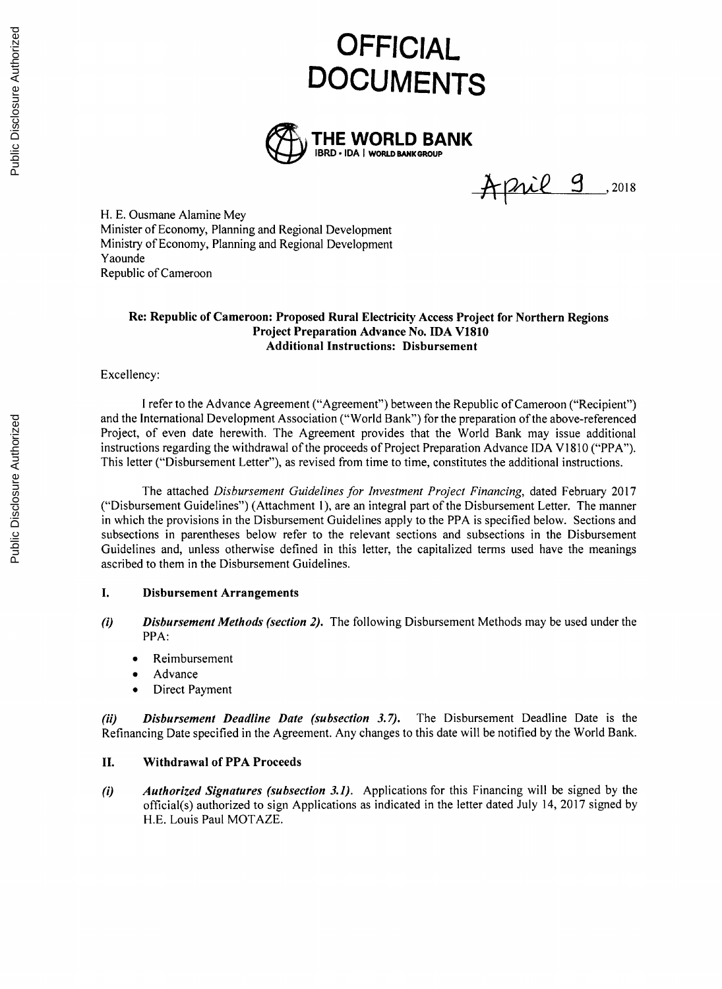# **OFFICIAL DOCUMENTS**



April 9 ,2018

H. **E.** Ousmane Alamine Mey Minister of Economy, Planning and Regional Development Ministry of Economy, Planning and Regional Development Yaounde Republic of Cameroon

#### **Re: Republic of Cameroon: Proposed Rural Electricity Access Project for Northern Regions Project Preparation Advance No. IDA V1810 Additional Instructions: Disbursement**

#### Excellency:

**<sup>I</sup>**refer to the Advance Agreement ("Agreement") between the Republic of Cameroon ("Recipient") and the International Development Association ("World Bank") for the preparation of the above-referenced Project, of even date herewith. The Agreement provides that the World Bank may issue additional instructions regarding the withdrawal of the proceeds of Project Preparation Advance **IDA V1810** ("PPA"). This letter ("Disbursement Letter"), as revised from time to time, constitutes the additional instructions.

The attached *Disbursement Guidelines for Investment Project Financing,* dated February **2017** ("Disbursement Guidelines") (Attachment **1),** are an integral part of the Disbursement Letter. The manner in which the provisions in the Disbursement Guidelines apply to the PPA is specified below. Sections and subsections in parentheses below refer to the relevant sections and subsections in the Disbursement Guidelines and, unless otherwise defined in this letter, the capitalized terms used have the meanings ascribed to them in the Disbursement Guidelines.

## **I. Disbursement Arrangements**

- *(i) Disbursement Methods (section 2).* The following Disbursement Methods may be used under the PPA:
	- **Reimbursement**
	- Advance
	- Direct Payment

*(ii) Disbursement Deadline Date (subsection 3.7).* The Disbursement Deadline Date is the Refinancing Date specified in the Agreement. Any changes to this date will be notified **by** the World Bank.

## **II. Withdrawal of PPA Proceeds**

*(i) Authorized Signatures (subsection 3.1).* Applications for this Financing will be signed **by** the official(s) authorized to sign Applications as indicated in the letter dated July 14, **2017** signed **by H.E.** Louis Paul MOTAZE.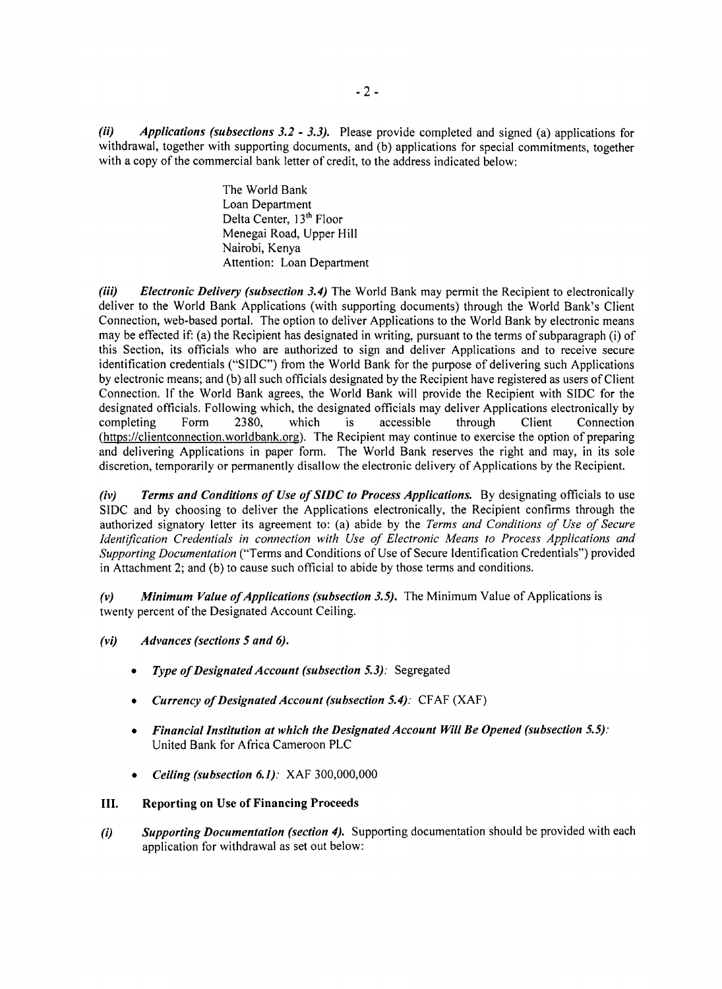*(ii) Applications (subsections 3.2* **-** *3.3).* Please provide completed and signed (a) applications for withdrawal, together with supporting documents, and **(b)** applications for special commitments, together with a copy of the commercial bank letter of credit, to the address indicated below:

> The World Bank Loan Department Delta Center, 13<sup>th</sup> Floor Menegai Road, Upper Hill Nairobi, Kenya Attention: Loan Department

*(iii) Electronic Delivery (subsection 3.4)* The World Bank may permit the Recipient to electronically deliver to the World Bank Applications (with supporting documents) through the World Bank's Client Connection, web-based portal. The option to deliver Applications to the World Bank **by** electronic means may be effected if: (a) the Recipient has designated in writing, pursuant to the terms of subparagraph (i) of this Section, its officials who are authorized to sign and deliver Applications and to receive secure identification credentials **("SIDC")** from the World Bank for the purpose of delivering such Applications **by** electronic means; and **(b)** all such officials designated **by** the Recipient have registered as users of Client Connection. **If** the World Bank agrees, the World Bank will provide the Recipient with **SIDC** for the designated officials. Following which, the designated officials may deliver Applications electronically **by** completing Form **2380,** which is accessible through Client Connection (https://clientconnection.worldbank.org). The Recipient may continue to exercise the option of preparing and delivering Applications in paper form. The World Bank reserves the right and may, in its sole discretion, temporarily or permanently disallow the electronic delivery of Applications **by** the Recipient.

*(iv) Terms and Conditions of Use of SIDC to Process Applications.* **By** designating officials to use **SIDC** and **by** choosing to deliver the Applications electronically, the Recipient confirms through the authorized signatory letter its agreement to: (a) abide **by** the *Terms and Conditions of Use of Secure Identification Credentials in connection with Use of Electronic Means to Process Applications and Supporting Documentation* ("Terms and Conditions of Use of Secure Identification Credentials") provided in Attachment 2; and **(b)** to cause such official to abide **by** those terms and conditions.

*(v) Minimum Value ofApplications (subsection 3.5).* The Minimum Value of Applications is twenty percent of the Designated Account Ceiling.

- *(vi) Advances (sections 5 and 6).*
	- *\* Type of Designated Account (subsection 5.3):* Segregated
	- *\* Currency of Designated Account (subsection 5.4):* **CFAF** (XAF)
	- *\* Financial Institution at which the Designated Account Will Be Opened (subsection 5.5):* United Bank for Africa Cameroon PLC
	- *\* Ceiling (subsection 6.1):* XAF **300,000,000**

## **III. Reporting on Use of Financing Proceeds**

*(i) Supporting Documentation (section 4).* Supporting documentation should be provided with each application for withdrawal as set out below: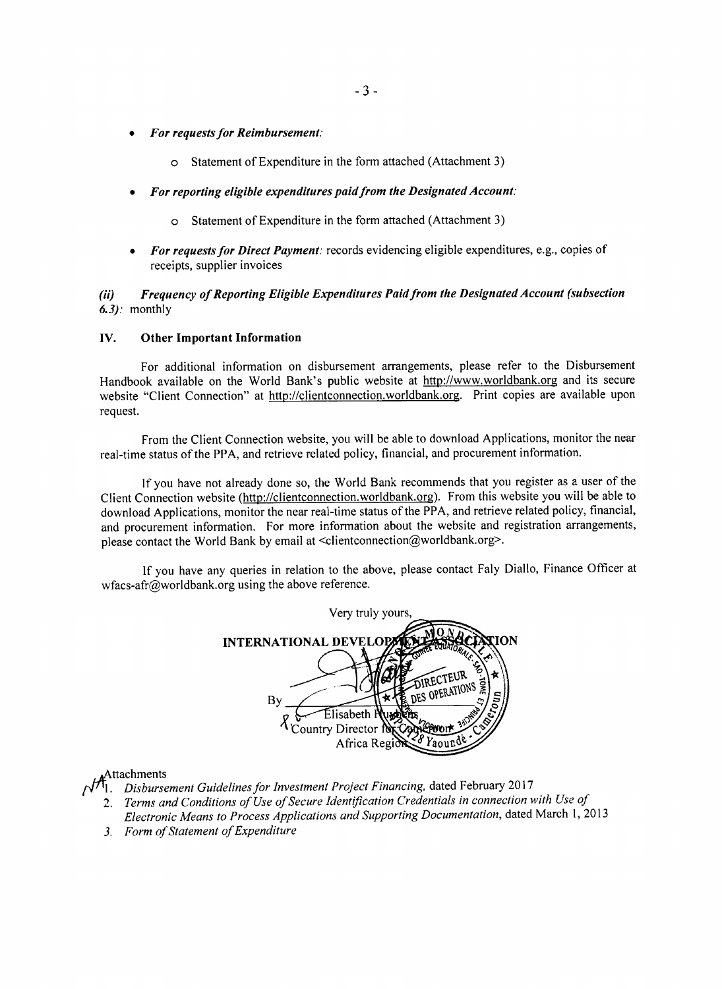- *\* For requests for Reimbursement:*
	- o Statement of Expenditure in the form attached (Attachment **3)**
- *\* For reporting eligible expenditures paid from the Designated Account:*
	- o Statement of Expenditure in the form attached (Attachment **3)**
- *For requests for Direct Payment: records evidencing eligible expenditures, e.g., copies of* receipts, supplier invoices

## *(ii) Frequency of Reporting Eligible Expenditures Paid from the Designated Account (subsection 6.3):* monthly

#### **IV. Other Important Information**

For additional information on disbursement arrangements, please refer to the Disbursement Handbook available on the World Bank's public website at http://www.worldbank.org and its secure website "Client Connection" at http://clientconnection.worldbank.org. Print copies are available upon request.

From the Client Connection website, you will be able to download Applications, monitor the near real-time status of the PPA, and retrieve related policy, financial, and procurement information.

**If** you have not already done so, the World Bank recommends that you register as a user of the Client Connection website (http://clientconnection.worldbank.org). From this website you will be able to download Applications, monitor the near real-time status of the PPA, and retrieve related policy, financial, and procurement information. For more information about the website and registration arrangements, please contact the World Bank **by** email at <clientconnection@worldbank.org>.

**If** you have any queries in relation to the above, please contact Faly Diallo, Finance Officer at wfacs-afr@worldbank.org using the above reference.

| Very truly yours,                                                  |
|--------------------------------------------------------------------|
| ION<br><b>INTERNATIONAL DEVELOP</b>                                |
| <b>TRECTEUR</b>                                                    |
| 3WO)<br>DES OPERATIONS<br>$c_{r_{O_{U_{1}}}}$<br>Вy<br>Elisabeth P |
| 3017/Wab<br><sup>1</sup> Country Director for<br>d <sup>8</sup>    |
| Africa Regi                                                        |

#### ttachments

- 1. *Disbursement Guidelines for Investment Project Financing,* dated February **2017**
	- *2. Terms and Conditions of Use ofSecure Identification Credentials in connection with Use of*
	- *Electronic Means to Process Applications and Supporting Documentation,* dated March **1, 2013**
	- *3. Form of Statement of Expenditure*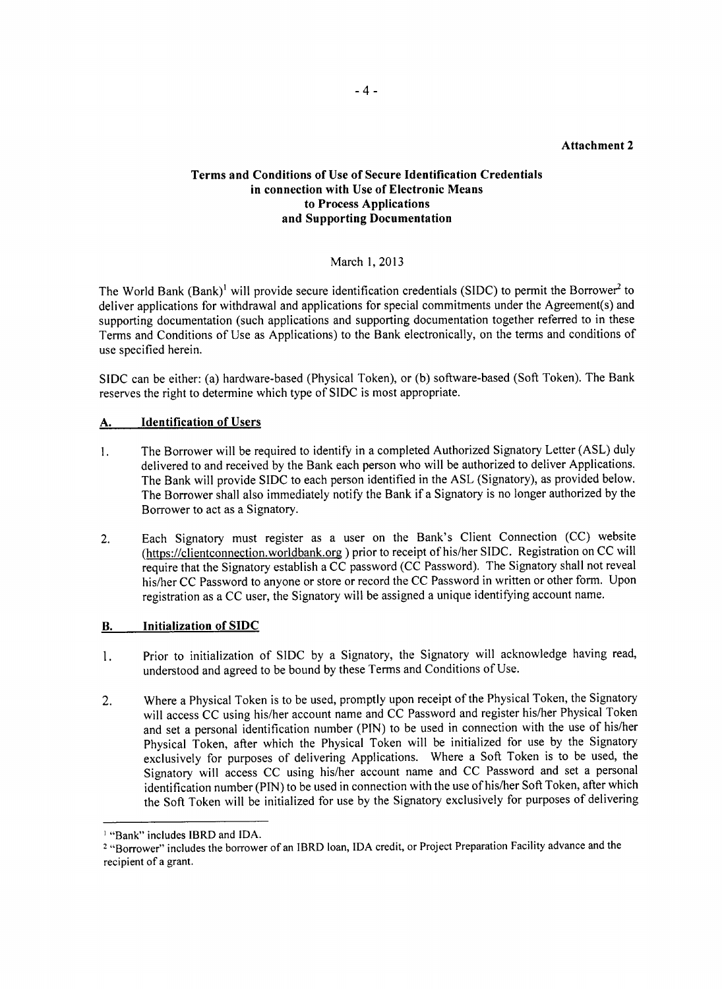## **Attachment 2**

# **Terms and Conditions of Use of Secure Identification Credentials in connection with Use of Electronic Means to Process Applications and Supporting Documentation**

# March **1, 2013**

The World Bank (Bank)<sup>1</sup> will provide secure identification credentials (SIDC) to permit the Borrower<sup>2</sup> to deliver applications for withdrawal and applications for special commitments under the Agreement(s) and supporting documentation (such applications and supporting documentation together referred to in these Terms and Conditions of Use as Applications) to the Bank electronically, on the terms and conditions of use specified herein.

**SIDC** can be either: (a) hardware-based (Physical Token), or **(b)** software-based (Soft Token). The Bank reserves the right to determine which type of **SIDC** is most appropriate.

## **A.** Identification of Users

- **1.** The Borrower will be required to identify in a completed Authorized Signatory Letter **(ASL)** duly delivered to and received **by** the Bank each person who will be authorized to deliver Applications. The Bank will provide **SIDC** to each person identified in the **ASL** (Signatory), as provided below. The Borrower shall also immediately notify the Bank if a Signatory is no longer authorized **by** the Borrower to act as a Signatory.
- 2. Each Signatory must register as a user on the Bank's Client Connection **(CC)** website (https://clientconnection.worldbank.or **)** prior to receipt of his/her **SIDC.** Registration on **CC** will require that the Signatory establish a **CC** password **(CC** Password). The Signatory shall not reveal his/her **CC** Password to anyone or store or record the **CC** Password in written or other form. Upon registration as a **CC** user, the Signatory will be assigned a unique identifying account name.

## B. **Initialization of SIDC**

- 1. Prior to initialization of **SIDC by** a Signatory, the Signatory will acknowledge having read, understood and agreed to be bound **by** these Terms and Conditions of Use.
- 2. Where a Physical Token is to be used, promptly upon receipt of the Physical Token, the Signatory will access **CC** using his/her account name and **CC** Password and register his/her Physical Token and set a personal identification number **(PIN)** to be used in connection with the use of his/her Physical Token, after which the Physical Token will be initialized for use **by** the Signatory exclusively for purposes of delivering Applications. Where a Soft Token is to be used, the Signatory will access **CC** using his/her account name and **CC** Password and set a personal identification number (PIN) to be used in connection with the use of his/her Soft Token, after which the Soft Token will be initialized for use **by** the Signatory exclusively for purposes of delivering

<sup>&#</sup>x27;"Bank" includes IBRD and **IDA.**

<sup>2</sup> "Borrower" includes the borrower of an IBRD loan, **IDA** credit, or Project Preparation Facility advance and the recipient of a grant.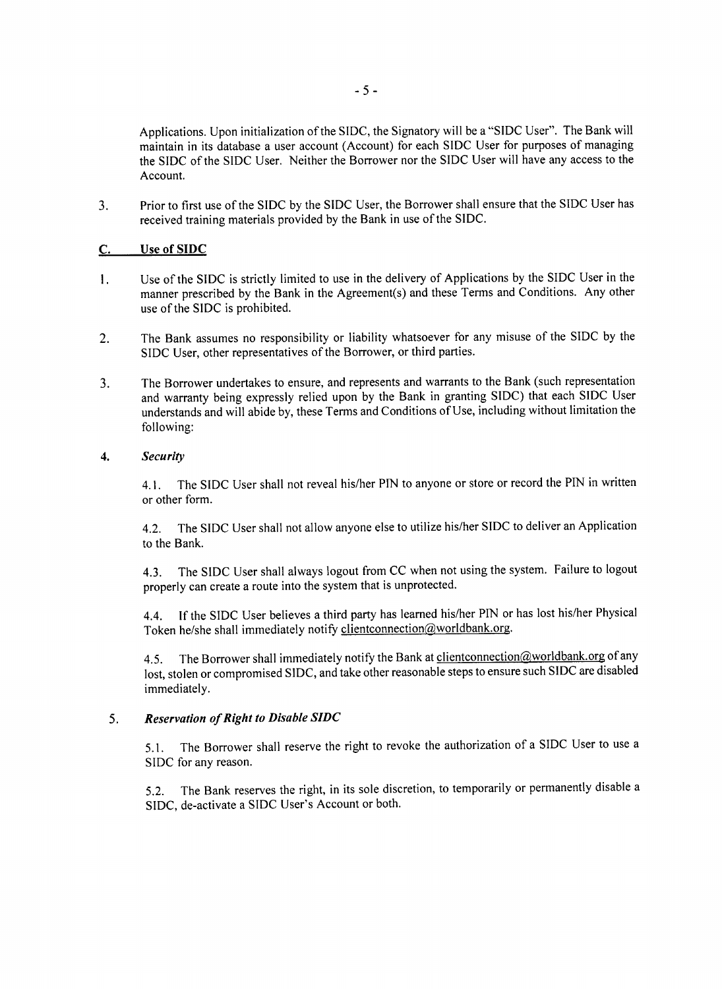Applications. Upon initialization of the **SIDC,** the Signatory will be a **"SIDC** User". The Bank will maintain in its database a user account (Account) for each **SIDC** User for purposes of managing the **SIDC** of the **SIDC** User. Neither the Borrower nor the **SIDC** User will have any access to the Account.

**3.** Prior to first use of the **SIDC by** the **SIDC** User, the Borrower shall ensure that the **SIDC** User has received training materials provided **by** the Bank in use of the **SIDC.**

## **C.** Use of **SIDC**

- Use of the **SIDC** is strictly limited to use in the delivery of Applications **by** the **SIDC** User in the  $\mathbf{L}$ manner prescribed **by** the Bank in the Agreement(s) and these Terms and Conditions. Any other use of the **SIDC** is prohibited.
- 2. The Bank assumes no responsibility or liability whatsoever for any misuse of the **SIDC by** the **SIDC** User, other representatives of the Borrower, or third parties.
- **3.** The Borrower undertakes to ensure, and represents and warrants to the Bank (such representation and warranty being expressly relied upon **by** the Bank in granting **SIDC)** that each **SIDC** User understands and will abide **by,** these Terms and Conditions of Use, including without limitation the following:

#### *4. Security*

*4.1.* The **SIDC** User shall not reveal his/her **PIN** to anyone or store or record the **PIN** in written or other form.

4.2. The **SIDC** User shall not allow anyone else to utilize his/her **SIDC** to deliver an Application to the Bank.

4.3. The **SIDC** User shall always logout from **CC** when not using the system. Failure to logout properly can create a route into the system that is unprotected.

4.4. **If** the **SIDC** User believes a third party has learned his/her **PIN** or has lost his/her Physical Token he/she shall immediately notify clientconnection@worldbank.org.

4.5. The Borrower shall immediately notify the Bank at clientconnection@worldbank.org of any lost, stolen or compromised **SIDC,** and take other reasonable steps to ensure such **SIDC** are disabled immediately.

#### *5. Reservation of Right to Disable SIDC*

**5.1.** The Borrower shall reserve the right to revoke the authorization of a **SIDC** User to use a **SIDC** for any reason.

**5.2.** The Bank reserves the right, in its sole discretion, to temporarily or permanently disable a **SIDC,** de-activate a **SIDC** User's Account or both.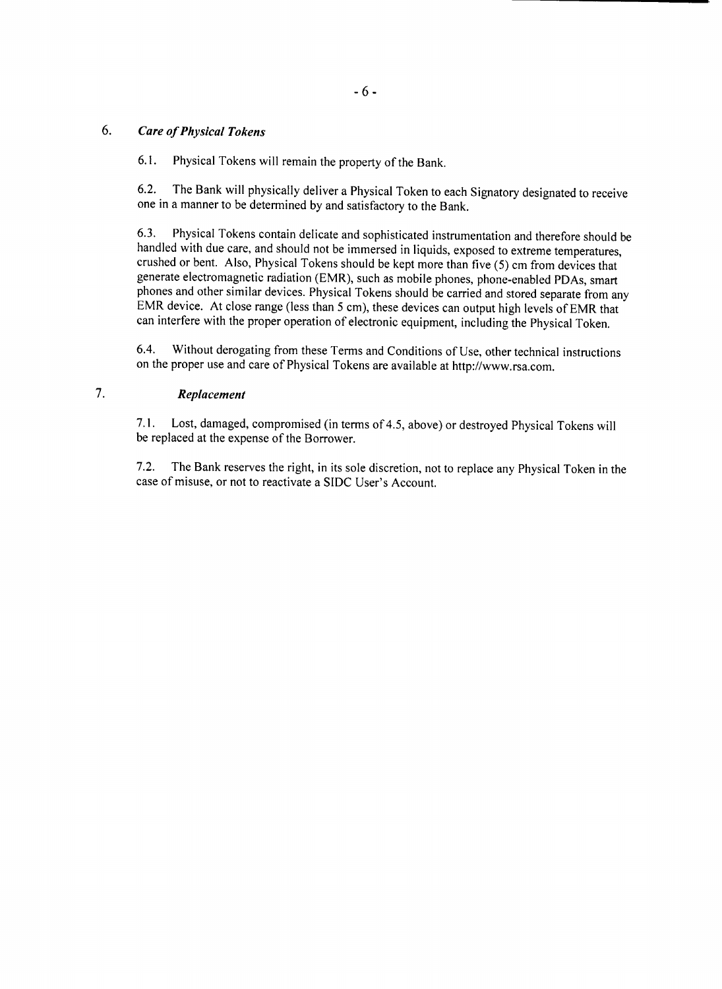# *6. Care of Physical Tokens*

**6.1.** Physical Tokens will remain the property of the Bank.

**6.2.** The Bank will physically deliver a Physical Token to each Signatory designated to receive one in a manner to be determined **by** and satisfactory to the Bank.

6.3. Physical Tokens contain delicate and sophisticated instrumentation and therefore should be handled with due care, and should not be immersed in liquids, exposed to extreme temperatures, crushed or bent. Also, Physical phones and other similar devices. Physical Tokens should be carried and stored separate from any EMR device. At close range (less than 5 cm), these devices can output high levels of EMR that can interfere with the proper operation of electronic equipment, including the Physical Token.

6.4. Without derogating from these Terms and Conditions of Use, other technical instructions on the proper use and care of Physical Tokens are available at http://www.rsa.com.

# 7. *Replacement*

**7.1.** Lost, damaged, compromised (in terms of 4.5, above) or destroyed Physical Tokens will be replaced at the expense of the Borrower.

**7.2.** The Bank reserves the right, in its sole discretion, not to replace any Physical Token in the case of misuse, or not to reactivate a **SIDC** User's Account.